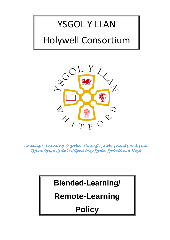# YSGOL Y LLAN Holywell Consortium



*Growing & Learning Together Through Faith, Friends and Fun Tyfu a Dysgu Gyda'n Gilydd trwy Ffydd, Ffrindiau a Hwyl* 

### **Blended-Learning/**

### **Remote-Learning**

## **Policy**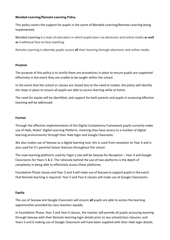#### **Blended-Learning/Remote-Learning Policy**

This policy covers the support for pupils in the event of Blended-Learning/Remote-Learning being implemented.

Blended-Learning is a style of education in which pupils learn via electronic and online media **as well as** traditional face-to-face teaching.

Remote-Learning is whereby pupils access **all** their learning through electronic and online media.

#### **Purpose**

The purpose of this policy is to certify there are procedures in place to ensure pupils are supported effectively in the event they are unable to be taught within the school.

In the event that the school or classes are closed due to the need to isolate, the policy will identify the steps in place to ensure all pupils are able to access learning while at home.

The need for equity will be identified, and support for both parents and pupils in accessing effective teaching will be addressed.

#### **Format**

Through the effective implementation of the Digital Competency Framework pupils currently make use of Hwb, Wales' Digital Learning Platform, meaning they have access to a number of digital learning environments through their Hwb login and Google Classroom.

We also makes use of Seesaw as a digital learning tool, this is used from reception to Year 4 and is also used for it's parental liaison features throughout the school.

The main learning platforms used by Ysgol y Llan will be Seesaw for Reception – Year 4 and Google Classrooms for Years 5 & 6. The rationale behind the use of two platforms is the depth of complexity in being able to effectively access these platforms.

Foundation Phase classes and Year 3 and 4 will make use of Seesaw to support pupilsin the event that Remote-learning is required. Year 5 and Year 6 classes will make use of Google Classrooms.

#### **Equity**

The use of Seesaw and Google Classroom will ensure **all** pupils are able to access the learning opportunities provided by class teachers equally.

In Foundation Phase, Year 3 and Year 4 classes, the teacher will provide all pupils accessing learning through Seesaw with their Remote-learning login details prior to any school/class closures, and Years 5 and 6 making use of Google Classroom will have been supplied with their Hwb login details.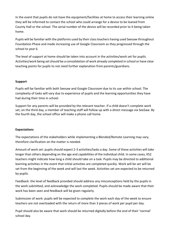In the event that pupils do not have the equipment/facilities at home to access their learning online they will be informed to contact the school who could arrange for a device to be loaned from County Hall or the school. The serial number of the device will be recorded prior to it being taken home.

Pupils will be familiar with the platforms used by their class teachers having used Seesaw throughout Foundation Phase and made increasing use of Google Classroom as they progressed through the school to year 6.

The level of support at home should be taken into account in the activities/work set for pupils. Activities/work being setshould be a consolidation of work already completed in school or have clear teaching points for pupils to not need further explanation from parents/guardians.

#### **Support**

Pupils will be familiar with both Seesaw and Google Classroom due to its use within school. The complexity of tasks will vary due to experience of pupils and the learning opportunities they have had during their time in school.

Support for any parents will be provided by the relevant teacher. If a child doesn't complete work set, on the third day, a member of teaching staff will follow up with a direct message via SeeSaw. By the fourth day, the school office will make a phone call home.

#### **Expectations**

The expectations of the stakeholders while implementing a Blended/Remote Learning may vary, therefore clarification on the matter is needed.

Amount of work set: pupils should expect 2-3 activities/tasks a day. Some of these activities will take longer than others depending on the age and capabilities of the individual child. In some cases, KS2 teachers might indicate how long a child should take on a task. Pupils may be directed to additional learning activities in the event that initial activities are completed quickly. Work will be set will be set from the beginning of the week and will last the week. Activities set are expected to be returned by pupils.

Feedback: the level of feedback provided should address any misconceptions held by the pupils in the work submitted, and acknowledge the work completed. Pupils should be made aware that their work has been seen and feedback will be given regularly.

Submission of work: pupils will be expected to complete the work each day of the week to ensure teachers are not overloaded with the return of more than 3 pieces of work per pupil per day.

Pupil should also be aware that work should be returned digitally before the end of their 'normal' school day.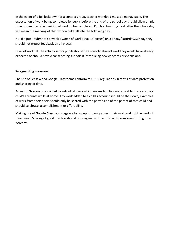In the event of a full lockdown for a contact group, teacher workload must be manageable. The expectation of work being completed by pupils before the end of the school day should allow ample time for feedback/recognition of work to be completed. Pupils submitting work after the school day will mean the marking of that work would fall into the following day.

NB. If a pupil submitted a week's worth of work (Max 15 pieces) on a Friday/Saturday/Sunday they should not expect feedback on all pieces.

Level of work set: the activity set for pupils should be a consolidation of work they would have already expected or should have clear teaching support if introducing new concepts or extensions.

#### **Safeguarding measures**

The use of Seesaw and Google Classrooms conform to GDPR regulations in terms of data protection and sharing of data.

Access to **Seesaw** is restricted to individual users which means families are only able to access their child's accounts while at home. Any work added to a child's account should be their own, examples of work from their peers should only be shared with the permission of the parent of that child and should celebrate accomplishment or effort alike.

Making use of **Google Classrooms** again allows pupils to only access their work and not the work of their peers. Sharing of good practice should once again be done only with permission through the 'Stream'.